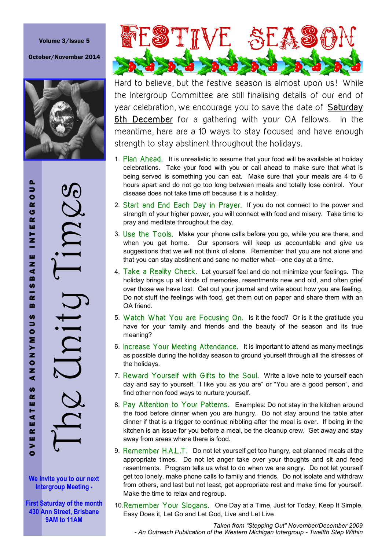#### Volume 3/Issue 5

### October/November 2014



 $\mathbf{a}$ 

GROU

ē  $\frac{1}{1}$  $\overline{z}$ 

ш  $\overline{z}$  $\blacktriangleleft$ m The Unity Times

**We invite you to our next Intergroup Meeting -**

**First Saturday of the month 430 Ann Street, Brisbane 9AM to 11AM**



Hard to believe, but the festive season is almost upon us! While the Intergroup Committee are still finalising details of our end of year celebration, we encourage you to save the date of Saturday 6th December for a gathering with your OA fellows. In the meantime, here are a 10 ways to stay focused and have enough strength to stay abstinent throughout the holidays.

- 1. Plan Ahead. It is unrealistic to assume that your food will be available at holiday celebrations. Take your food with you or call ahead to make sure that what is being served is something you can eat. Make sure that your meals are 4 to 6 hours apart and do not go too long between meals and totally lose control. Your disease does not take time off because it is a holiday.
- 2. Start and End Each Day in Prayer. If you do not connect to the power and strength of your higher power, you will connect with food and misery. Take time to pray and meditate throughout the day.
- 3. Use the Tools. Make your phone calls before you go, while you are there, and when you get home. Our sponsors will keep us accountable and give us suggestions that we will not think of alone. Remember that you are not alone and that you can stay abstinent and sane no matter what—one day at a time.
- 4. Take a Reality Check. Let yourself feel and do not minimize your feelings. The holiday brings up all kinds of memories, resentments new and old, and often grief over those we have lost. Get out your journal and write about how you are feeling. Do not stuff the feelings with food, get them out on paper and share them with an OA friend.
- 5. Watch What You are Focusing On. Is it the food? Or is it the gratitude you have for your family and friends and the beauty of the season and its true meaning?
- 6. Increase Your Meeting Attendance. It is important to attend as many meetings as possible during the holiday season to ground yourself through all the stresses of the holidays.
- 7. Reward Yourself with Gifts to the Soul. Write a love note to yourself each day and say to yourself, "I like you as you are" or "You are a good person", and find other non food ways to nurture yourself.
- 8. Pay Attention to Your Patterns. Examples: Do not stay in the kitchen around the food before dinner when you are hungry. Do not stay around the table after dinner if that is a trigger to continue nibbling after the meal is over. If being in the kitchen is an issue for you before a meal, be the cleanup crew. Get away and stay away from areas where there is food.
- 9. Remember H.A.L.T. Do not let yourself get too hungry, eat planned meals at the appropriate times. Do not let anger take over your thoughts and sit and feed resentments. Program tells us what to do when we are angry. Do not let yourself get too lonely, make phone calls to family and friends. Do not isolate and withdraw from others, and last but not least, get appropriate rest and make time for yourself. Make the time to relax and regroup.
- 10. Remember Your Slogans. One Day at a Time, Just for Today, Keep It Simple, Easy Does it, Let Go and Let God, Live and Let Live

*Taken from "Stepping Out" November/December 2009 - An Outreach Publication of the Western Michigan Intergroup - Twelfth Step Within*